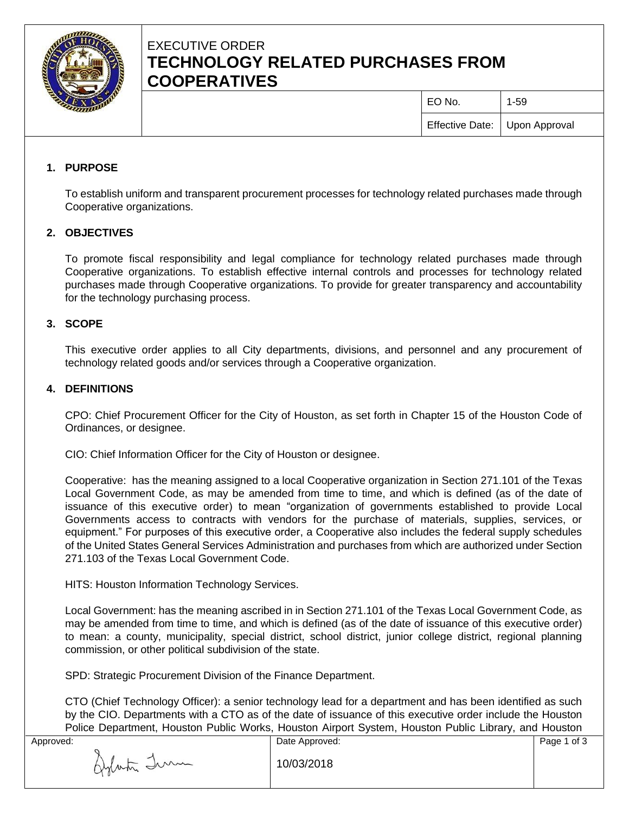

# EXECUTIVE ORDER **TECHNOLOGY RELATED PURCHASES FROM COOPERATIVES**

| EO No.                          | $1 - 59$ |
|---------------------------------|----------|
| Effective Date:   Upon Approval |          |

## **1. PURPOSE**

To establish uniform and transparent procurement processes for technology related purchases made through Cooperative organizations.

## **2. OBJECTIVES**

To promote fiscal responsibility and legal compliance for technology related purchases made through Cooperative organizations. To establish effective internal controls and processes for technology related purchases made through Cooperative organizations. To provide for greater transparency and accountability for the technology purchasing process.

## **3. SCOPE**

This executive order applies to all City departments, divisions, and personnel and any procurement of technology related goods and/or services through a Cooperative organization.

## **4. DEFINITIONS**

CPO: Chief Procurement Officer for the City of Houston, as set forth in Chapter 15 of the Houston Code of Ordinances, or designee.

CIO: Chief Information Officer for the City of Houston or designee.

Cooperative: has the meaning assigned to a local Cooperative organization in Section 271.101 of the Texas Local Government Code, as may be amended from time to time, and which is defined (as of the date of issuance of this executive order) to mean "organization of governments established to provide Local Governments access to contracts with vendors for the purchase of materials, supplies, services, or equipment." For purposes of this executive order, a Cooperative also includes the federal supply schedules of the United States General Services Administration and purchases from which are authorized under Section 271.103 of the Texas Local Government Code.

HITS: Houston Information Technology Services.

Local Government: has the meaning ascribed in in Section 271.101 of the Texas Local Government Code, as may be amended from time to time, and which is defined (as of the date of issuance of this executive order) to mean: a county, municipality, special district, school district, junior college district, regional planning commission, or other political subdivision of the state.

SPD: Strategic Procurement Division of the Finance Department.

CTO (Chief Technology Officer): a senior technology lead for a department and has been identified as such by the CIO. Departments with a CTO as of the date of issuance of this executive order include the Houston Police Department, Houston Public Works, Houston Airport System, Houston Public Library, and Houston

| Approved:   | Date Approved: | Page 1 of 3 |
|-------------|----------------|-------------|
| Aylasta Imm | 10/03/2018     |             |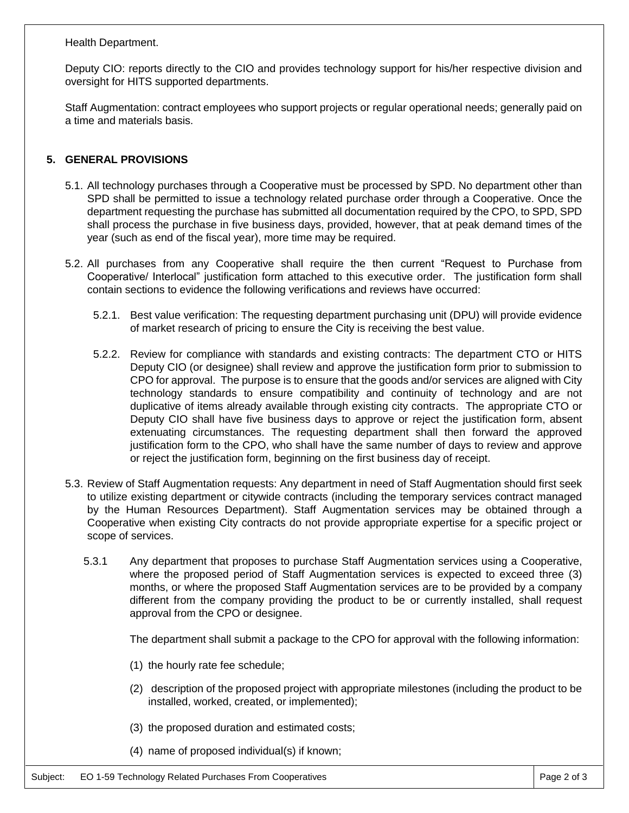#### Health Department.

Deputy CIO: reports directly to the CIO and provides technology support for his/her respective division and oversight for HITS supported departments.

Staff Augmentation: contract employees who support projects or regular operational needs; generally paid on a time and materials basis.

#### **5. GENERAL PROVISIONS**

- 5.1. All technology purchases through a Cooperative must be processed by SPD. No department other than SPD shall be permitted to issue a technology related purchase order through a Cooperative. Once the department requesting the purchase has submitted all documentation required by the CPO, to SPD, SPD shall process the purchase in five business days, provided, however, that at peak demand times of the year (such as end of the fiscal year), more time may be required.
- 5.2. All purchases from any Cooperative shall require the then current "Request to Purchase from Cooperative/ Interlocal" justification form attached to this executive order. The justification form shall contain sections to evidence the following verifications and reviews have occurred:
	- 5.2.1. Best value verification: The requesting department purchasing unit (DPU) will provide evidence of market research of pricing to ensure the City is receiving the best value.
	- 5.2.2. Review for compliance with standards and existing contracts: The department CTO or HITS Deputy CIO (or designee) shall review and approve the justification form prior to submission to CPO for approval. The purpose is to ensure that the goods and/or services are aligned with City technology standards to ensure compatibility and continuity of technology and are not duplicative of items already available through existing city contracts. The appropriate CTO or Deputy CIO shall have five business days to approve or reject the justification form, absent extenuating circumstances. The requesting department shall then forward the approved justification form to the CPO, who shall have the same number of days to review and approve or reject the justification form, beginning on the first business day of receipt.
- 5.3. Review of Staff Augmentation requests: Any department in need of Staff Augmentation should first seek to utilize existing department or citywide contracts (including the temporary services contract managed by the Human Resources Department). Staff Augmentation services may be obtained through a Cooperative when existing City contracts do not provide appropriate expertise for a specific project or scope of services.
	- 5.3.1 Any department that proposes to purchase Staff Augmentation services using a Cooperative, where the proposed period of Staff Augmentation services is expected to exceed three (3) months, or where the proposed Staff Augmentation services are to be provided by a company different from the company providing the product to be or currently installed, shall request approval from the CPO or designee.

The department shall submit a package to the CPO for approval with the following information:

- (1) the hourly rate fee schedule;
- (2) description of the proposed project with appropriate milestones (including the product to be installed, worked, created, or implemented);
- (3) the proposed duration and estimated costs;
- (4) name of proposed individual(s) if known;